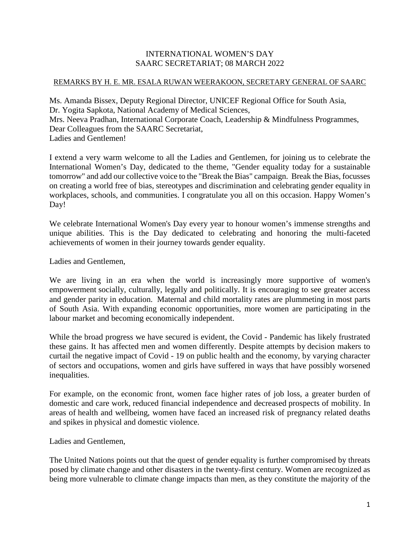## INTERNATIONAL WOMEN'S DAY SAARC SECRETARIAT; 08 MARCH 2022

## REMARKS BY H. E. MR. ESALA RUWAN WEERAKOON, SECRETARY GENERAL OF SAARC

Ms. Amanda Bissex, Deputy Regional Director, UNICEF Regional Office for South Asia, Dr. Yogita Sapkota, National Academy of Medical Sciences, Mrs. Neeva Pradhan, International Corporate Coach, Leadership & Mindfulness Programmes, Dear Colleagues from the SAARC Secretariat, Ladies and Gentlemen!

I extend a very warm welcome to all the Ladies and Gentlemen, for joining us to celebrate the International Women's Day, dedicated to the theme, "Gender equality today for a sustainable tomorrow" and add our collective voice to the "Break the Bias" campaign. Break the Bias, focusses on creating a world free of bias, stereotypes and discrimination and celebrating gender equality in workplaces, schools, and communities. I congratulate you all on this occasion. Happy Women's Day!

We celebrate International Women's Day every year to honour women's immense strengths and unique abilities. This is the Day dedicated to celebrating and honoring the multi-faceted achievements of women in their journey towards gender equality.

Ladies and Gentlemen,

We are living in an era when the world is increasingly more supportive of women's empowerment socially, culturally, legally and politically. It is encouraging to see greater access and gender parity in education. Maternal and child mortality rates are plummeting in most parts of South Asia. With expanding economic opportunities, more women are participating in the labour market and becoming economically independent.

While the broad progress we have secured is evident, the Covid - Pandemic has likely frustrated these gains. It has affected men and women differently. Despite attempts by decision makers to curtail the negative impact of Covid - 19 on public health and the economy, by varying character of sectors and occupations, women and girls have suffered in ways that have possibly worsened inequalities.

For example, on the economic front, women face higher rates of job loss, a greater burden of domestic and care work, reduced financial independence and decreased prospects of mobility. In areas of health and wellbeing, women have faced an increased risk of pregnancy related deaths and spikes in physical and domestic violence.

Ladies and Gentlemen,

The United Nations points out that the quest of gender equality is further compromised by threats posed by climate change and other disasters in the twenty-first century. Women are recognized as being more vulnerable to climate change impacts than men, as they constitute the majority of the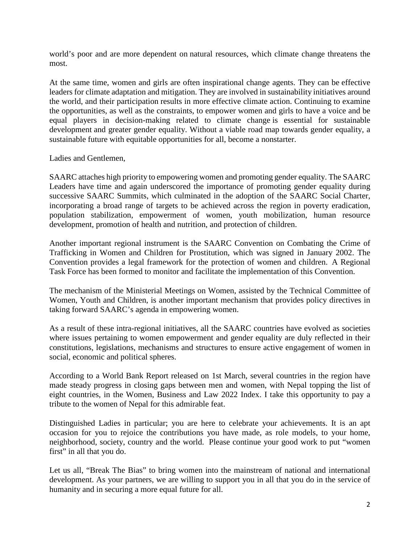world's poor and are more dependent on natural resources, which climate change threatens the most.

At the same time, women and girls are often inspirational change agents. They can be effective leaders for climate adaptation and mitigation. They are involved in sustainability initiatives around the world, and their participation results in more effective climate action. Continuing to examine the opportunities, as well as the constraints, to empower women and girls to have a voice and be equal players in decision-making related to climate change is essential for sustainable development and greater gender equality. Without a viable road map towards gender equality, a sustainable future with equitable opportunities for all, become a nonstarter.

Ladies and Gentlemen,

SAARC attaches high priority to empowering women and promoting gender equality. The SAARC Leaders have time and again underscored the importance of promoting gender equality during successive SAARC Summits, which culminated in the adoption of the SAARC Social Charter, incorporating a broad range of targets to be achieved across the region in poverty eradication, population stabilization, empowerment of women, youth mobilization, human resource development, promotion of health and nutrition, and protection of children.

Another important regional instrument is the SAARC Convention on Combating the Crime of Trafficking in Women and Children for Prostitution, which was signed in January 2002. The Convention provides a legal framework for the protection of women and children. A Regional Task Force has been formed to monitor and facilitate the implementation of this Convention.

The mechanism of the Ministerial Meetings on Women, assisted by the Technical Committee of Women, Youth and Children, is another important mechanism that provides policy directives in taking forward SAARC's agenda in empowering women.

As a result of these intra-regional initiatives, all the SAARC countries have evolved as societies where issues pertaining to women empowerment and gender equality are duly reflected in their constitutions, legislations, mechanisms and structures to ensure active engagement of women in social, economic and political spheres.

According to a World Bank Report released on 1st March, several countries in the region have made steady progress in closing gaps between men and women, with Nepal topping the list of eight countries, in the Women, Business and Law 2022 Index. I take this opportunity to pay a tribute to the women of Nepal for this admirable feat.

Distinguished Ladies in particular; you are here to celebrate your achievements. It is an apt occasion for you to rejoice the contributions you have made, as role models, to your home, neighborhood, society, country and the world. Please continue your good work to put "women first" in all that you do.

Let us all, "Break The Bias" to bring women into the mainstream of national and international development. As your partners, we are willing to support you in all that you do in the service of humanity and in securing a more equal future for all.